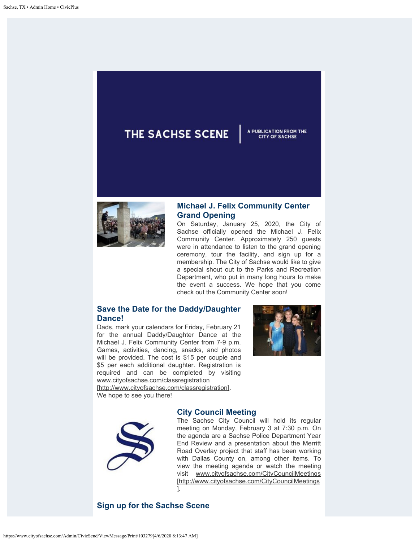## THE SACHSE SCENE



## **Michael J. Felix Community Center Grand Opening**

On Saturday, January 25, 2020, the City of Sachse officially opened the Michael J. Felix Community Center. Approximately 250 guests were in attendance to listen to the grand opening ceremony, tour the facility, and sign up for a membership. The City of Sachse would like to give a special shout out to the Parks and Recreation Department, who put in many long hours to make the event a success. We hope that you come check out the Community Center soon!

## **Save the Date for the Daddy/Daughter Dance!**

Dads, mark your calendars for Friday, February 21 for the annual Daddy/Daughter Dance at the Michael J. Felix Community Center from 7-9 p.m. Games, activities, dancing, snacks, and photos will be provided. The cost is \$15 per couple and \$5 per each additional daughter. Registration is required and can be completed by visiting [www.cityofsachse.com/classregistration](http://www.cityofsachse.com/classregistration)

[http://www.cityofsachse.com/classregistration]. We hope to see you there!



A PUBLICATION FROM THE **CITY OF SACHSE** 

## **City Council Meeting**

The Sachse City Council will hold its regular meeting on Monday, February 3 at 7:30 p.m. On the agenda are a Sachse Police Department Year End Review and a presentation about the Merritt Road Overlay project that staff has been working with Dallas County on, among other items. To view the meeting agenda or watch the meeting visit [www.cityofsachse.com/CityCouncilMeetings](http://www.cityofsachse.com/CityCouncilMeetings) [http://www.cityofsachse.com/CityCouncilMeetings ].

**Sign up for the Sachse Scene**